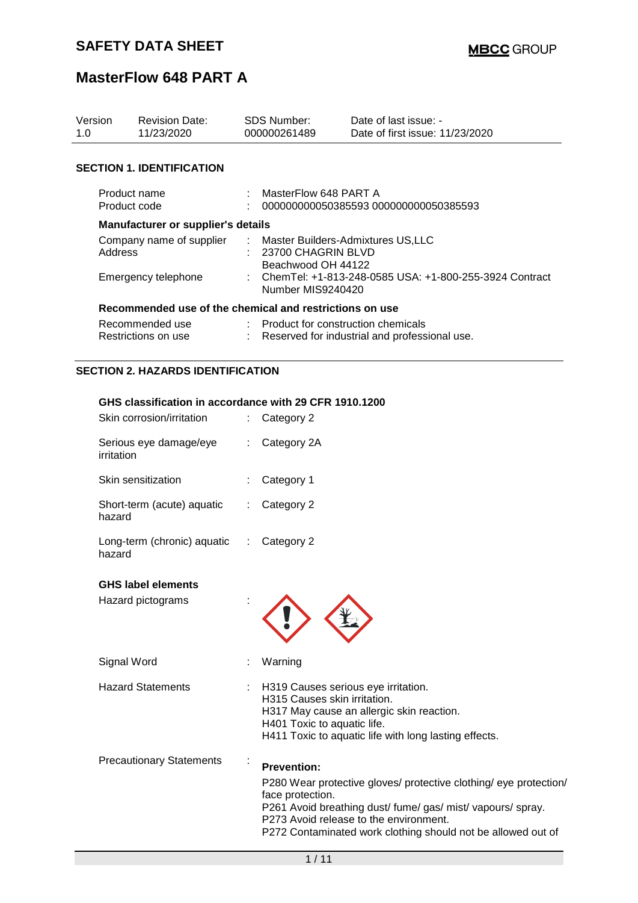| Version<br>1.0                                          | <b>Revision Date:</b><br>11/23/2020    |  | <b>SDS Number:</b><br>000000261489                                              | Date of last issue: -<br>Date of first issue: 11/23/2020 |
|---------------------------------------------------------|----------------------------------------|--|---------------------------------------------------------------------------------|----------------------------------------------------------|
|                                                         | <b>SECTION 1. IDENTIFICATION</b>       |  |                                                                                 |                                                          |
|                                                         | Product name<br>Product code           |  | MasterFlow 648 PART A                                                           | 000000000050385593 000000000050385593                    |
| <b>Manufacturer or supplier's details</b>               |                                        |  |                                                                                 |                                                          |
| Address                                                 | Company name of supplier               |  | : Master Builders-Admixtures US,LLC<br>23700 CHAGRIN BLVD<br>Beachwood OH 44122 |                                                          |
|                                                         | Emergency telephone                    |  | Number MIS9240420                                                               | : ChemTel: +1-813-248-0585 USA: +1-800-255-3924 Contract |
| Recommended use of the chemical and restrictions on use |                                        |  |                                                                                 |                                                          |
|                                                         | Recommended use<br>Restrictions on use |  | : Product for construction chemicals                                            | Reserved for industrial and professional use.            |

### **SECTION 2. HAZARDS IDENTIFICATION**

#### **GHS classification in accordance with 29 CFR 1910.1200**

| Category 2                                                                                                                                                                                                                                                                           |
|--------------------------------------------------------------------------------------------------------------------------------------------------------------------------------------------------------------------------------------------------------------------------------------|
| Category 2A                                                                                                                                                                                                                                                                          |
| Category 1                                                                                                                                                                                                                                                                           |
| Category 2                                                                                                                                                                                                                                                                           |
| Category 2                                                                                                                                                                                                                                                                           |
|                                                                                                                                                                                                                                                                                      |
|                                                                                                                                                                                                                                                                                      |
| Warning                                                                                                                                                                                                                                                                              |
| H319 Causes serious eye irritation.<br>H315 Causes skin irritation.<br>H317 May cause an allergic skin reaction.<br>H401 Toxic to aquatic life.<br>H411 Toxic to aquatic life with long lasting effects.                                                                             |
| <b>Prevention:</b><br>P280 Wear protective gloves/ protective clothing/ eye protection/<br>face protection.<br>P261 Avoid breathing dust/ fume/ gas/ mist/ vapours/ spray.<br>P273 Avoid release to the environment.<br>P272 Contaminated work clothing should not be allowed out of |
| ÷                                                                                                                                                                                                                                                                                    |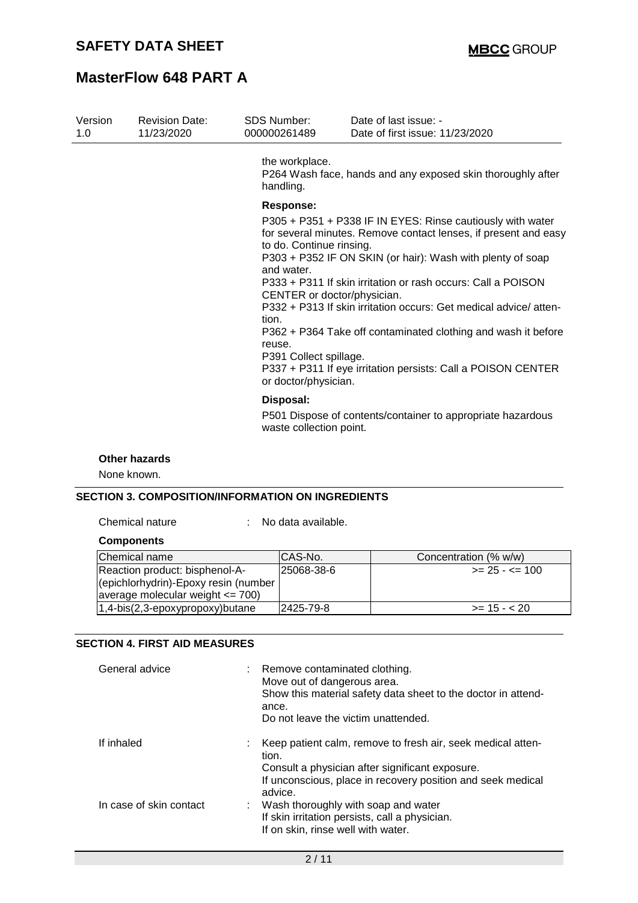| Version<br>1.0 | <b>Revision Date:</b><br>11/23/2020 | SDS Number:<br>000000261489                                                                                                                                    | Date of last issue: -<br>Date of first issue: 11/23/2020                                                                                                                                                                                                                                                                                                                                                                                                         |
|----------------|-------------------------------------|----------------------------------------------------------------------------------------------------------------------------------------------------------------|------------------------------------------------------------------------------------------------------------------------------------------------------------------------------------------------------------------------------------------------------------------------------------------------------------------------------------------------------------------------------------------------------------------------------------------------------------------|
|                |                                     | the workplace.<br>handling.                                                                                                                                    | P264 Wash face, hands and any exposed skin thoroughly after                                                                                                                                                                                                                                                                                                                                                                                                      |
|                |                                     | <b>Response:</b><br>to do. Continue rinsing.<br>and water.<br>CENTER or doctor/physician.<br>tion.<br>reuse.<br>P391 Collect spillage.<br>or doctor/physician. | P305 + P351 + P338 IF IN EYES: Rinse cautiously with water<br>for several minutes. Remove contact lenses, if present and easy<br>P303 + P352 IF ON SKIN (or hair): Wash with plenty of soap<br>P333 + P311 If skin irritation or rash occurs: Call a POISON<br>P332 + P313 If skin irritation occurs: Get medical advice/atten-<br>P362 + P364 Take off contaminated clothing and wash it before<br>P337 + P311 If eye irritation persists: Call a POISON CENTER |
|                |                                     | Disposal:<br>waste collection point.                                                                                                                           | P501 Dispose of contents/container to appropriate hazardous                                                                                                                                                                                                                                                                                                                                                                                                      |

**Other hazards**

None known.

#### **SECTION 3. COMPOSITION/INFORMATION ON INGREDIENTS**

Chemical nature : No data available.

### **Components**

| Chemical name                        | ICAS-No.   | Concentration (% w/w) |
|--------------------------------------|------------|-----------------------|
| Reaction product: bisphenol-A-       | 25068-38-6 | $>= 25 - 5 = 100$     |
| (epichlorhydrin)-Epoxy resin (number |            |                       |
| average molecular weight $\leq$ 700) |            |                       |
| $(1,4-bis(2,3-epoxypropoxy)butane)$  | 12425-79-8 | $>= 15 - 20$          |

### **SECTION 4. FIRST AID MEASURES**

| General advice          | : Remove contaminated clothing.<br>Move out of dangerous area.<br>Show this material safety data sheet to the doctor in attend-<br>ance.<br>Do not leave the victim unattended.                     |
|-------------------------|-----------------------------------------------------------------------------------------------------------------------------------------------------------------------------------------------------|
| If inhaled              | : Keep patient calm, remove to fresh air, seek medical atten-<br>tion.<br>Consult a physician after significant exposure.<br>If unconscious, place in recovery position and seek medical<br>advice. |
| In case of skin contact | : Wash thoroughly with soap and water<br>If skin irritation persists, call a physician.<br>If on skin, rinse well with water.                                                                       |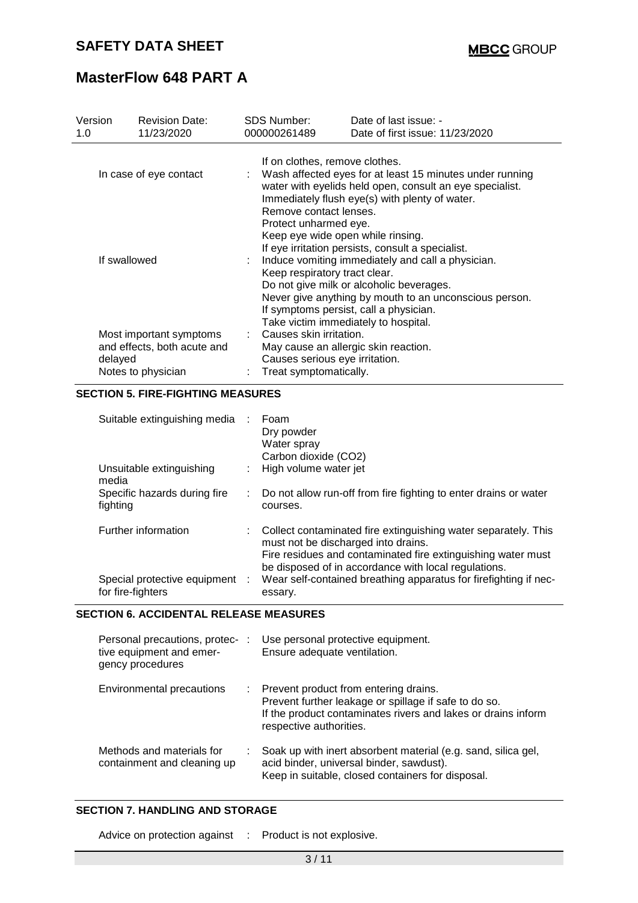# **MasterFlow 648 PART A**

| Version<br>1.0         | <b>Revision Date:</b><br>11/23/2020                                          | <b>SDS Number:</b><br>000000261489                                                                                                                                                                                                                                                                                                    | Date of last issue: -<br>Date of first issue: 11/23/2020 |  |  |  |
|------------------------|------------------------------------------------------------------------------|---------------------------------------------------------------------------------------------------------------------------------------------------------------------------------------------------------------------------------------------------------------------------------------------------------------------------------------|----------------------------------------------------------|--|--|--|
| In case of eye contact |                                                                              | If on clothes, remove clothes.<br>Wash affected eyes for at least 15 minutes under running<br>water with eyelids held open, consult an eye specialist.<br>Immediately flush eye(s) with plenty of water.                                                                                                                              |                                                          |  |  |  |
| If swallowed           |                                                                              | Remove contact lenses.<br>Protect unharmed eye.<br>Keep eye wide open while rinsing.<br>If eye irritation persists, consult a specialist.<br>Induce vomiting immediately and call a physician.<br>Keep respiratory tract clear.<br>Do not give milk or alcoholic beverages.<br>Never give anything by mouth to an unconscious person. |                                                          |  |  |  |
| delayed                | Most important symptoms<br>and effects, both acute and<br>Notes to physician | Take victim immediately to hospital.<br>Causes skin irritation.<br>May cause an allergic skin reaction.<br>Causes serious eye irritation.<br>Treat symptomatically.                                                                                                                                                                   | If symptoms persist, call a physician.                   |  |  |  |

### **SECTION 5. FIRE-FIGHTING MEASURES**

| Suitable extinguishing media                      | Foam<br>Dry powder<br>Water spray<br>Carbon dioxide (CO2)                                                                                                                                                                       |
|---------------------------------------------------|---------------------------------------------------------------------------------------------------------------------------------------------------------------------------------------------------------------------------------|
| Unsuitable extinguishing<br>media                 | : High volume water jet                                                                                                                                                                                                         |
| Specific hazards during fire<br>fighting          | : Do not allow run-off from fire fighting to enter drains or water<br>courses.                                                                                                                                                  |
| Further information                               | : Collect contaminated fire extinguishing water separately. This<br>must not be discharged into drains.<br>Fire residues and contaminated fire extinguishing water must<br>be disposed of in accordance with local regulations. |
| Special protective equipment<br>for fire-fighters | Wear self-contained breathing apparatus for firefighting if nec-<br>essary.                                                                                                                                                     |

#### **SECTION 6. ACCIDENTAL RELEASE MEASURES**

| Personal precautions, protec- :<br>tive equipment and emer-<br>gency procedures | Use personal protective equipment.<br>Ensure adequate ventilation.                                                                                                                         |
|---------------------------------------------------------------------------------|--------------------------------------------------------------------------------------------------------------------------------------------------------------------------------------------|
| Environmental precautions<br>÷.                                                 | Prevent product from entering drains.<br>Prevent further leakage or spillage if safe to do so.<br>If the product contaminates rivers and lakes or drains inform<br>respective authorities. |
| Methods and materials for<br>containment and cleaning up                        | Soak up with inert absorbent material (e.g. sand, silica gel,<br>acid binder, universal binder, sawdust).<br>Keep in suitable, closed containers for disposal.                             |

#### **SECTION 7. HANDLING AND STORAGE**

Advice on protection against : Product is not explosive.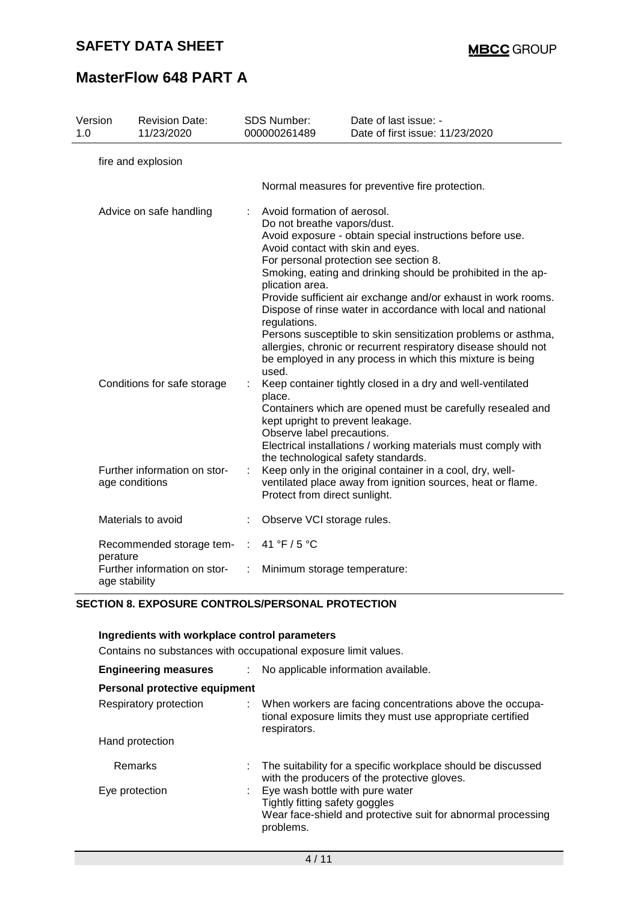# **MasterFlow 648 PART A**

| Version<br>1.0 |                | <b>Revision Date:</b><br>11/23/2020 | SDS Number:<br>000000261489                                                                                                                 | Date of last issue: -<br>Date of first issue: 11/23/2020                                                                                                                                                                                                                                                                                                                                                                                                                                            |
|----------------|----------------|-------------------------------------|---------------------------------------------------------------------------------------------------------------------------------------------|-----------------------------------------------------------------------------------------------------------------------------------------------------------------------------------------------------------------------------------------------------------------------------------------------------------------------------------------------------------------------------------------------------------------------------------------------------------------------------------------------------|
|                |                | fire and explosion                  |                                                                                                                                             |                                                                                                                                                                                                                                                                                                                                                                                                                                                                                                     |
|                |                |                                     |                                                                                                                                             | Normal measures for preventive fire protection.                                                                                                                                                                                                                                                                                                                                                                                                                                                     |
|                |                | Advice on safe handling             | Avoid formation of aerosol.<br>Do not breathe vapors/dust.<br>Avoid contact with skin and eyes.<br>plication area.<br>regulations.<br>used. | Avoid exposure - obtain special instructions before use.<br>For personal protection see section 8.<br>Smoking, eating and drinking should be prohibited in the ap-<br>Provide sufficient air exchange and/or exhaust in work rooms.<br>Dispose of rinse water in accordance with local and national<br>Persons susceptible to skin sensitization problems or asthma,<br>allergies, chronic or recurrent respiratory disease should not<br>be employed in any process in which this mixture is being |
|                |                | Conditions for safe storage         | place.<br>kept upright to prevent leakage.<br>Observe label precautions.<br>the technological safety standards.                             | Keep container tightly closed in a dry and well-ventilated<br>Containers which are opened must be carefully resealed and<br>Electrical installations / working materials must comply with                                                                                                                                                                                                                                                                                                           |
|                | age conditions | Further information on stor-        | Protect from direct sunlight.                                                                                                               | Keep only in the original container in a cool, dry, well-<br>ventilated place away from ignition sources, heat or flame.                                                                                                                                                                                                                                                                                                                                                                            |
|                |                | Materials to avoid                  | Observe VCI storage rules.                                                                                                                  |                                                                                                                                                                                                                                                                                                                                                                                                                                                                                                     |
|                | perature       | Recommended storage tem-            | 41 °F / 5 °C                                                                                                                                |                                                                                                                                                                                                                                                                                                                                                                                                                                                                                                     |
|                | age stability  | Further information on stor-        | Minimum storage temperature:                                                                                                                |                                                                                                                                                                                                                                                                                                                                                                                                                                                                                                     |

#### **SECTION 8. EXPOSURE CONTROLS/PERSONAL PROTECTION**

#### **Ingredients with workplace control parameters**

Contains no substances with occupational exposure limit values.

| <b>Engineering measures</b>   | : No applicable information available.                                                                                                         |
|-------------------------------|------------------------------------------------------------------------------------------------------------------------------------------------|
| Personal protective equipment |                                                                                                                                                |
| Respiratory protection        | When workers are facing concentrations above the occupa-<br>tional exposure limits they must use appropriate certified<br>respirators.         |
| Hand protection               |                                                                                                                                                |
| <b>Remarks</b>                | The suitability for a specific workplace should be discussed<br>with the producers of the protective gloves.                                   |
| Eye protection                | Eye wash bottle with pure water<br>Tightly fitting safety goggles<br>Wear face-shield and protective suit for abnormal processing<br>problems. |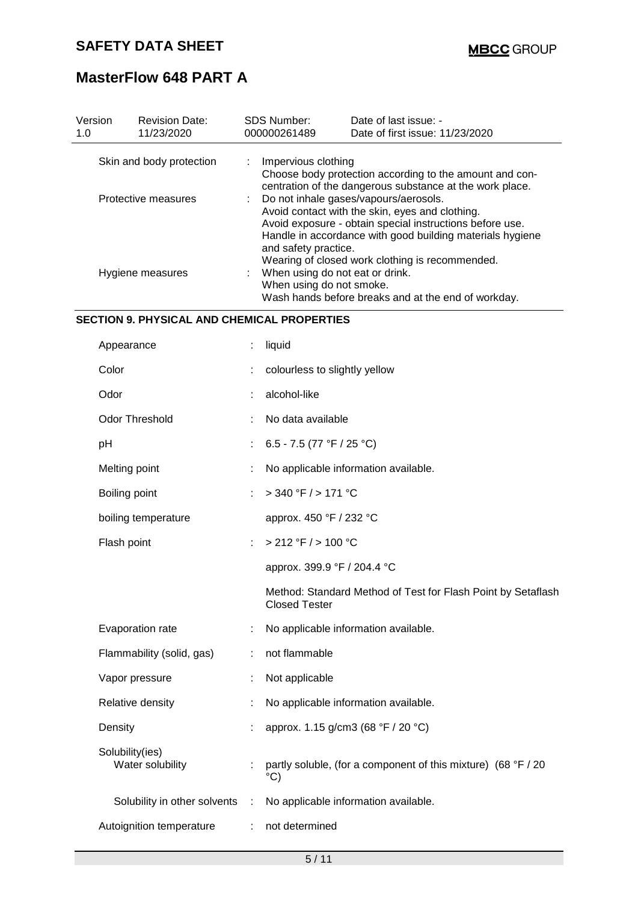| Version<br>1.0           | <b>Revision Date:</b><br>11/23/2020 | <b>SDS Number:</b><br>000000261489                              | Date of last issue: -<br>Date of first issue: 11/23/2020                                                                                                                                                                    |
|--------------------------|-------------------------------------|-----------------------------------------------------------------|-----------------------------------------------------------------------------------------------------------------------------------------------------------------------------------------------------------------------------|
| Skin and body protection |                                     | Impervious clothing<br>t.                                       | Choose body protection according to the amount and con-<br>centration of the dangerous substance at the work place.                                                                                                         |
| Protective measures      |                                     | : Do not inhale gases/vapours/aerosols.<br>and safety practice. | Avoid contact with the skin, eyes and clothing.<br>Avoid exposure - obtain special instructions before use.<br>Handle in accordance with good building materials hygiene<br>Wearing of closed work clothing is recommended. |
|                          | Hygiene measures                    | : When using do not eat or drink.<br>When using do not smoke.   | Wash hands before breaks and at the end of workday.                                                                                                                                                                         |

#### **SECTION 9. PHYSICAL AND CHEMICAL PROPERTIES**

| Appearance                          |    | liquid                                                                               |
|-------------------------------------|----|--------------------------------------------------------------------------------------|
| Color                               |    | colourless to slightly yellow                                                        |
| Odor                                | t  | alcohol-like                                                                         |
| <b>Odor Threshold</b>               |    | No data available                                                                    |
| pH                                  |    | 6.5 - 7.5 (77 °F / 25 °C)                                                            |
| Melting point                       |    | No applicable information available.                                                 |
| Boiling point                       |    | $>$ 340 °F / $>$ 171 °C                                                              |
| boiling temperature                 |    | approx. 450 °F / 232 °C                                                              |
| Flash point                         |    | > 212 °F / > 100 °C                                                                  |
|                                     |    | approx. 399.9 °F / 204.4 °C                                                          |
|                                     |    | Method: Standard Method of Test for Flash Point by Setaflash<br><b>Closed Tester</b> |
| Evaporation rate                    |    | No applicable information available.                                                 |
| Flammability (solid, gas)           |    | not flammable                                                                        |
| Vapor pressure                      | ÷  | Not applicable                                                                       |
| Relative density                    | ÷  | No applicable information available.                                                 |
| Density                             |    | approx. 1.15 g/cm3 (68 °F / 20 °C)                                                   |
| Solubility(ies)<br>Water solubility |    | partly soluble, (for a component of this mixture) (68 °F / 20<br>$\rm ^{\circ}C)$    |
|                                     |    | Solubility in other solvents : No applicable information available.                  |
| Autoignition temperature            | t. | not determined                                                                       |
|                                     |    |                                                                                      |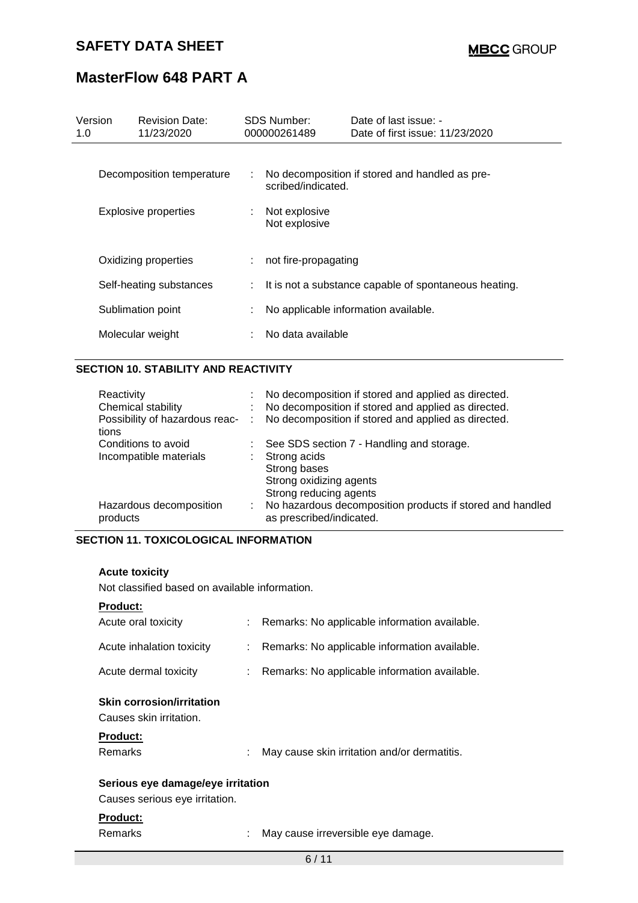# **MasterFlow 648 PART A**

| Version<br>1.0 | <b>Revision Date:</b><br>11/23/2020                      |    | <b>SDS Number:</b><br>000000261489                   | Date of last issue: -<br>Date of first issue: 11/23/2020 |
|----------------|----------------------------------------------------------|----|------------------------------------------------------|----------------------------------------------------------|
|                | Decomposition temperature<br><b>Explosive properties</b> |    | scribed/indicated.<br>Not explosive<br>Not explosive | No decomposition if stored and handled as pre-           |
|                | Oxidizing properties                                     |    | not fire-propagating                                 |                                                          |
|                | Self-heating substances                                  | t. |                                                      | It is not a substance capable of spontaneous heating.    |
|                | Sublimation point                                        |    |                                                      | No applicable information available.                     |
|                | Molecular weight                                         |    | No data available                                    |                                                          |

#### **SECTION 10. STABILITY AND REACTIVITY**

| Reactivity<br>Chemical stability          | No decomposition if stored and applied as directed.<br>No decomposition if stored and applied as directed. |
|-------------------------------------------|------------------------------------------------------------------------------------------------------------|
| Possibility of hazardous reac- :<br>tions | No decomposition if stored and applied as directed.                                                        |
| Conditions to avoid                       | See SDS section 7 - Handling and storage.                                                                  |
| Incompatible materials                    | Strong acids<br>Strong bases<br>Strong oxidizing agents<br>Strong reducing agents                          |
| Hazardous decomposition<br>products       | No hazardous decomposition products if stored and handled<br>as prescribed/indicated.                      |

#### **SECTION 11. TOXICOLOGICAL INFORMATION**

#### **Acute toxicity**

Not classified based on available information.

#### **Product:**

| Acute oral toxicity                                                                       |  | Remarks: No applicable information available.   |  |  |
|-------------------------------------------------------------------------------------------|--|-------------------------------------------------|--|--|
| Acute inhalation toxicity                                                                 |  | Remarks: No applicable information available.   |  |  |
| Acute dermal toxicity                                                                     |  | : Remarks: No applicable information available. |  |  |
| <b>Skin corrosion/irritation</b><br>Causes skin irritation.<br><b>Product:</b><br>Remarks |  | May cause skin irritation and/or dermatitis.    |  |  |
| Serious eye damage/eye irritation<br>Causes serious eye irritation.                       |  |                                                 |  |  |
| <b>Product:</b>                                                                           |  |                                                 |  |  |
| Remarks                                                                                   |  | May cause irreversible eye damage.              |  |  |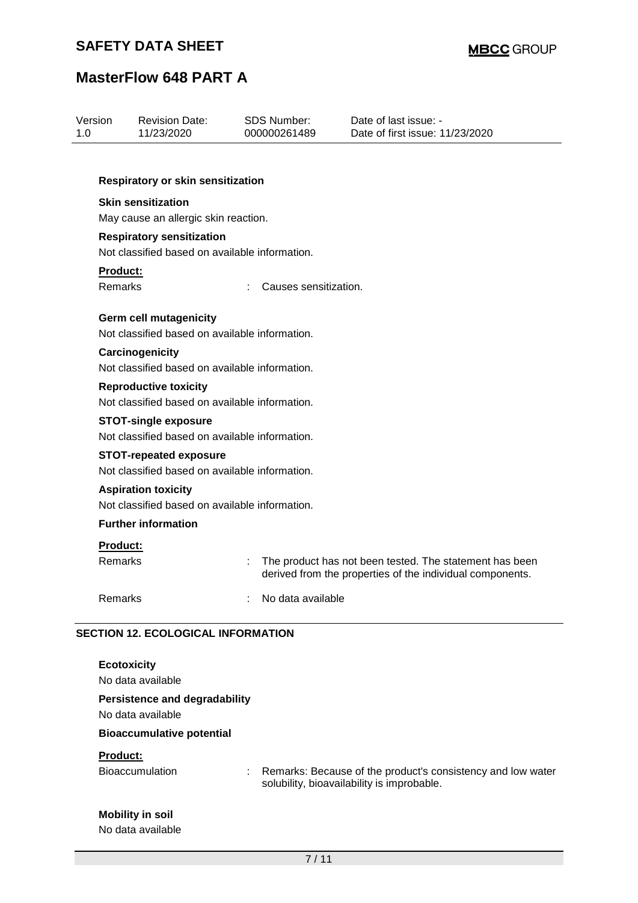# **MasterFlow 648 PART A**

| Version<br>1.0                                                                 | <b>Revision Date:</b><br>11/23/2020                                                | <b>SDS Number:</b><br>000000261489 | Date of last issue: -<br>Date of first issue: 11/23/2020                                                             |  |  |  |  |  |
|--------------------------------------------------------------------------------|------------------------------------------------------------------------------------|------------------------------------|----------------------------------------------------------------------------------------------------------------------|--|--|--|--|--|
|                                                                                |                                                                                    |                                    |                                                                                                                      |  |  |  |  |  |
|                                                                                | <b>Respiratory or skin sensitization</b>                                           |                                    |                                                                                                                      |  |  |  |  |  |
|                                                                                | <b>Skin sensitization</b>                                                          |                                    |                                                                                                                      |  |  |  |  |  |
|                                                                                | May cause an allergic skin reaction.                                               |                                    |                                                                                                                      |  |  |  |  |  |
|                                                                                | <b>Respiratory sensitization</b><br>Not classified based on available information. |                                    |                                                                                                                      |  |  |  |  |  |
| <b>Product:</b>                                                                |                                                                                    |                                    |                                                                                                                      |  |  |  |  |  |
| Remarks                                                                        |                                                                                    | Causes sensitization.              |                                                                                                                      |  |  |  |  |  |
|                                                                                | <b>Germ cell mutagenicity</b><br>Not classified based on available information.    |                                    |                                                                                                                      |  |  |  |  |  |
| Carcinogenicity<br>Not classified based on available information.              |                                                                                    |                                    |                                                                                                                      |  |  |  |  |  |
| <b>Reproductive toxicity</b><br>Not classified based on available information. |                                                                                    |                                    |                                                                                                                      |  |  |  |  |  |
| <b>STOT-single exposure</b><br>Not classified based on available information.  |                                                                                    |                                    |                                                                                                                      |  |  |  |  |  |
|                                                                                | <b>STOT-repeated exposure</b><br>Not classified based on available information.    |                                    |                                                                                                                      |  |  |  |  |  |
|                                                                                | <b>Aspiration toxicity</b><br>Not classified based on available information.       |                                    |                                                                                                                      |  |  |  |  |  |
|                                                                                | <b>Further information</b>                                                         |                                    |                                                                                                                      |  |  |  |  |  |
| Product:                                                                       |                                                                                    |                                    |                                                                                                                      |  |  |  |  |  |
| Remarks                                                                        |                                                                                    |                                    | The product has not been tested. The statement has been<br>derived from the properties of the individual components. |  |  |  |  |  |
| Remarks                                                                        |                                                                                    | No data available                  |                                                                                                                      |  |  |  |  |  |
|                                                                                | <b>SECTION 12. ECOLOGICAL INFORMATION</b>                                          |                                    |                                                                                                                      |  |  |  |  |  |
|                                                                                | <b>Ecotoxicity</b><br>No data available                                            |                                    |                                                                                                                      |  |  |  |  |  |

**Persistence and degradability**

No data available

### **Bioaccumulative potential**

#### **Product:**

Bioaccumulation : Remarks: Because of the product's consistency and low water solubility, bioavailability is improbable.

#### **Mobility in soil**

No data available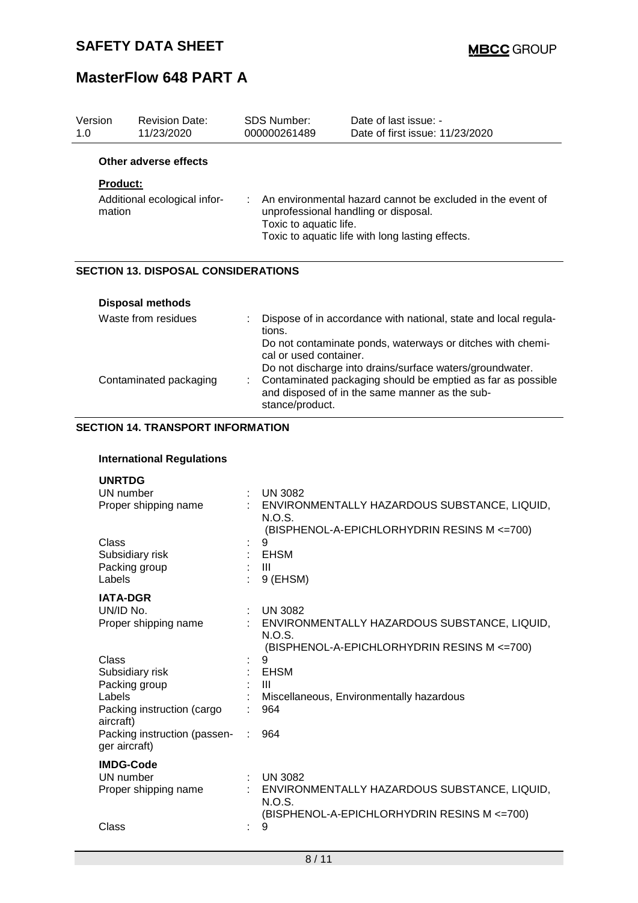| Version<br>1.0 |                                            | <b>Revision Date:</b><br>11/23/2020            |   | <b>SDS Number:</b><br>000000261489                                                                                                                                               | Date of last issue: -<br>Date of first issue: 11/23/2020                                                                                                                  |  |  |
|----------------|--------------------------------------------|------------------------------------------------|---|----------------------------------------------------------------------------------------------------------------------------------------------------------------------------------|---------------------------------------------------------------------------------------------------------------------------------------------------------------------------|--|--|
|                |                                            | Other adverse effects                          |   |                                                                                                                                                                                  |                                                                                                                                                                           |  |  |
|                | <b>Product:</b>                            |                                                |   |                                                                                                                                                                                  |                                                                                                                                                                           |  |  |
|                | Additional ecological infor-<br>mation     |                                                | ÷ | An environmental hazard cannot be excluded in the event of<br>unprofessional handling or disposal.<br>Toxic to aquatic life.<br>Toxic to aquatic life with long lasting effects. |                                                                                                                                                                           |  |  |
|                | <b>SECTION 13. DISPOSAL CONSIDERATIONS</b> |                                                |   |                                                                                                                                                                                  |                                                                                                                                                                           |  |  |
|                |                                            |                                                |   |                                                                                                                                                                                  |                                                                                                                                                                           |  |  |
|                |                                            | <b>Disposal methods</b><br>Waste from residues |   |                                                                                                                                                                                  | Dispose of in accordance with national, state and local regula-                                                                                                           |  |  |
|                |                                            |                                                |   | tions.<br>cal or used container.                                                                                                                                                 | Do not contaminate ponds, waterways or ditches with chemi-                                                                                                                |  |  |
|                |                                            | Contaminated packaging                         |   | stance/product.                                                                                                                                                                  | Do not discharge into drains/surface waters/groundwater.<br>Contaminated packaging should be emptied as far as possible<br>and disposed of in the same manner as the sub- |  |  |
|                | <b>SECTION 14. TRANSPORT INFORMATION</b>   |                                                |   |                                                                                                                                                                                  |                                                                                                                                                                           |  |  |
|                |                                            | <b>International Regulations</b>               |   |                                                                                                                                                                                  |                                                                                                                                                                           |  |  |
|                | <b>UNRTDG</b>                              |                                                |   |                                                                                                                                                                                  |                                                                                                                                                                           |  |  |
|                | UN number                                  |                                                |   | <b>UN 3082</b>                                                                                                                                                                   |                                                                                                                                                                           |  |  |
|                |                                            | Proper shipping name                           |   |                                                                                                                                                                                  | ENVIRONMENTALLY HAZARDOUS SUBSTANCE, LIQUID,                                                                                                                              |  |  |
|                |                                            |                                                |   | N.O.S.                                                                                                                                                                           | (BISPHENOL-A-EPICHLORHYDRIN RESINS M <= 700)                                                                                                                              |  |  |
|                | Class                                      |                                                |   | 9                                                                                                                                                                                |                                                                                                                                                                           |  |  |
|                |                                            | Subsidiary risk<br>Packing group               |   | <b>EHSM</b><br>$\mathbf{III}$                                                                                                                                                    |                                                                                                                                                                           |  |  |
|                | Labels                                     |                                                |   | 9 (EHSM)                                                                                                                                                                         |                                                                                                                                                                           |  |  |
|                | <b>IATA-DGR</b>                            |                                                |   |                                                                                                                                                                                  |                                                                                                                                                                           |  |  |
|                | UN/ID No.                                  | Proper shipping name                           |   | <b>UN 3082</b>                                                                                                                                                                   | ENVIRONMENTALLY HAZARDOUS SUBSTANCE, LIQUID,                                                                                                                              |  |  |
|                |                                            |                                                |   | N.O.S.                                                                                                                                                                           |                                                                                                                                                                           |  |  |
|                | Class                                      |                                                |   | 9                                                                                                                                                                                | (BISPHENOL-A-EPICHLORHYDRIN RESINS M <= 700)                                                                                                                              |  |  |
|                |                                            | Subsidiary risk                                |   | <b>EHSM</b>                                                                                                                                                                      |                                                                                                                                                                           |  |  |

| Packing group<br>Labels<br>Packing instruction (cargo<br>aircraft)<br>Packing instruction (passen-<br>ger aircraft) | Ш<br>Miscellaneous, Environmentally hazardous<br>964<br>964                                                                   |
|---------------------------------------------------------------------------------------------------------------------|-------------------------------------------------------------------------------------------------------------------------------|
| <b>IMDG-Code</b><br>UN number<br>Proper shipping name<br>Class                                                      | <b>UN 3082</b><br>ENVIRONMENTALLY HAZARDOUS SUBSTANCE, LIQUID,<br>N.O.S.<br>(BISPHENOL-A-EPICHLORHYDRIN RESINS M <= 700)<br>9 |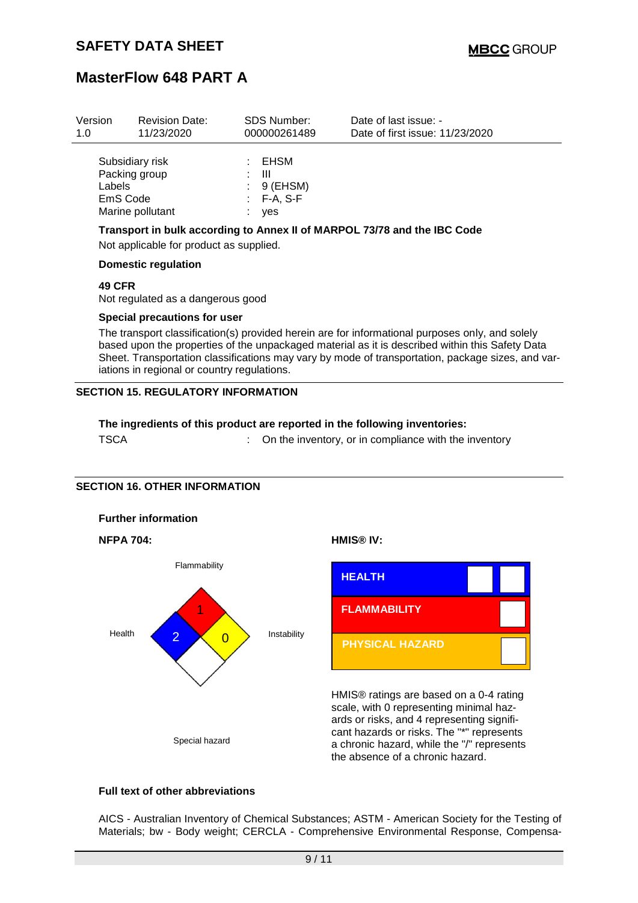| Version<br>1.0 | <b>Revision Date:</b><br>11/23/2020                              | <b>SDS Number:</b><br>000000261489                             | Date of last issue: -<br>Date of first issue: 11/23/2020                 |
|----------------|------------------------------------------------------------------|----------------------------------------------------------------|--------------------------------------------------------------------------|
| Labels         | Subsidiary risk<br>Packing group<br>EmS Code<br>Marine pollutant | : EHSM<br>Ш<br>t.<br>$: 9$ (EHSM)<br>$: F-A, S-F$<br>t.<br>yes |                                                                          |
|                |                                                                  |                                                                | Transport in bulk according to Annex II of MARPOL 73/78 and the IBC Code |

Not applicable for product as supplied.

#### **Domestic regulation**

#### **49 CFR**

Not regulated as a dangerous good

#### **Special precautions for user**

The transport classification(s) provided herein are for informational purposes only, and solely based upon the properties of the unpackaged material as it is described within this Safety Data Sheet. Transportation classifications may vary by mode of transportation, package sizes, and variations in regional or country regulations.

#### **SECTION 15. REGULATORY INFORMATION**

#### **The ingredients of this product are reported in the following inventories:** TSCA : On the inventory, or in compliance with the inventory

#### **SECTION 16. OTHER INFORMATION**



#### **Full text of other abbreviations**

AICS - Australian Inventory of Chemical Substances; ASTM - American Society for the Testing of Materials; bw - Body weight; CERCLA - Comprehensive Environmental Response, Compensa-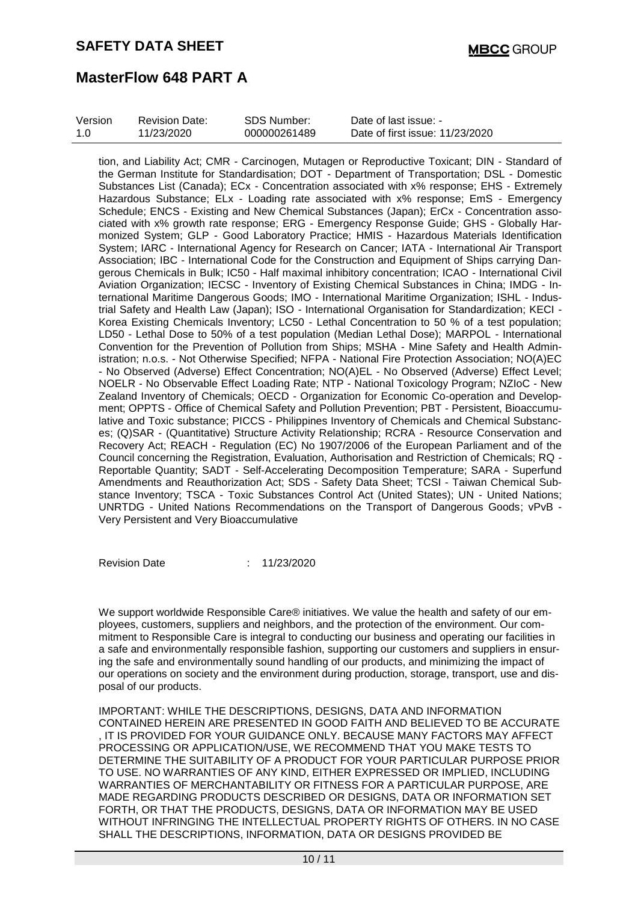| Version     | <b>Revision Date:</b> | SDS Number:  | Date of last issue: -           |
|-------------|-----------------------|--------------|---------------------------------|
| 1. $\Omega$ | 11/23/2020            | 000000261489 | Date of first issue: 11/23/2020 |

tion, and Liability Act; CMR - Carcinogen, Mutagen or Reproductive Toxicant; DIN - Standard of the German Institute for Standardisation; DOT - Department of Transportation; DSL - Domestic Substances List (Canada); ECx - Concentration associated with x% response; EHS - Extremely Hazardous Substance; ELx - Loading rate associated with x% response; EmS - Emergency Schedule; ENCS - Existing and New Chemical Substances (Japan); ErCx - Concentration associated with x% growth rate response; ERG - Emergency Response Guide; GHS - Globally Harmonized System; GLP - Good Laboratory Practice; HMIS - Hazardous Materials Identification System; IARC - International Agency for Research on Cancer; IATA - International Air Transport Association; IBC - International Code for the Construction and Equipment of Ships carrying Dangerous Chemicals in Bulk; IC50 - Half maximal inhibitory concentration; ICAO - International Civil Aviation Organization; IECSC - Inventory of Existing Chemical Substances in China; IMDG - International Maritime Dangerous Goods; IMO - International Maritime Organization; ISHL - Industrial Safety and Health Law (Japan); ISO - International Organisation for Standardization; KECI - Korea Existing Chemicals Inventory; LC50 - Lethal Concentration to 50 % of a test population; LD50 - Lethal Dose to 50% of a test population (Median Lethal Dose); MARPOL - International Convention for the Prevention of Pollution from Ships; MSHA - Mine Safety and Health Administration; n.o.s. - Not Otherwise Specified; NFPA - National Fire Protection Association; NO(A)EC - No Observed (Adverse) Effect Concentration; NO(A)EL - No Observed (Adverse) Effect Level; NOELR - No Observable Effect Loading Rate; NTP - National Toxicology Program; NZIoC - New Zealand Inventory of Chemicals; OECD - Organization for Economic Co-operation and Development; OPPTS - Office of Chemical Safety and Pollution Prevention; PBT - Persistent, Bioaccumulative and Toxic substance; PICCS - Philippines Inventory of Chemicals and Chemical Substances; (Q)SAR - (Quantitative) Structure Activity Relationship; RCRA - Resource Conservation and Recovery Act; REACH - Regulation (EC) No 1907/2006 of the European Parliament and of the Council concerning the Registration, Evaluation, Authorisation and Restriction of Chemicals; RQ - Reportable Quantity; SADT - Self-Accelerating Decomposition Temperature; SARA - Superfund Amendments and Reauthorization Act; SDS - Safety Data Sheet; TCSI - Taiwan Chemical Substance Inventory; TSCA - Toxic Substances Control Act (United States); UN - United Nations; UNRTDG - United Nations Recommendations on the Transport of Dangerous Goods; vPvB - Very Persistent and Very Bioaccumulative

Revision Date : 11/23/2020

We support worldwide Responsible Care® initiatives. We value the health and safety of our employees, customers, suppliers and neighbors, and the protection of the environment. Our commitment to Responsible Care is integral to conducting our business and operating our facilities in a safe and environmentally responsible fashion, supporting our customers and suppliers in ensuring the safe and environmentally sound handling of our products, and minimizing the impact of our operations on society and the environment during production, storage, transport, use and disposal of our products.

IMPORTANT: WHILE THE DESCRIPTIONS, DESIGNS, DATA AND INFORMATION CONTAINED HEREIN ARE PRESENTED IN GOOD FAITH AND BELIEVED TO BE ACCURATE , IT IS PROVIDED FOR YOUR GUIDANCE ONLY. BECAUSE MANY FACTORS MAY AFFECT PROCESSING OR APPLICATION/USE, WE RECOMMEND THAT YOU MAKE TESTS TO DETERMINE THE SUITABILITY OF A PRODUCT FOR YOUR PARTICULAR PURPOSE PRIOR TO USE. NO WARRANTIES OF ANY KIND, EITHER EXPRESSED OR IMPLIED, INCLUDING WARRANTIES OF MERCHANTABILITY OR FITNESS FOR A PARTICULAR PURPOSE, ARE MADE REGARDING PRODUCTS DESCRIBED OR DESIGNS, DATA OR INFORMATION SET FORTH, OR THAT THE PRODUCTS, DESIGNS, DATA OR INFORMATION MAY BE USED WITHOUT INFRINGING THE INTELLECTUAL PROPERTY RIGHTS OF OTHERS. IN NO CASE SHALL THE DESCRIPTIONS, INFORMATION, DATA OR DESIGNS PROVIDED BE